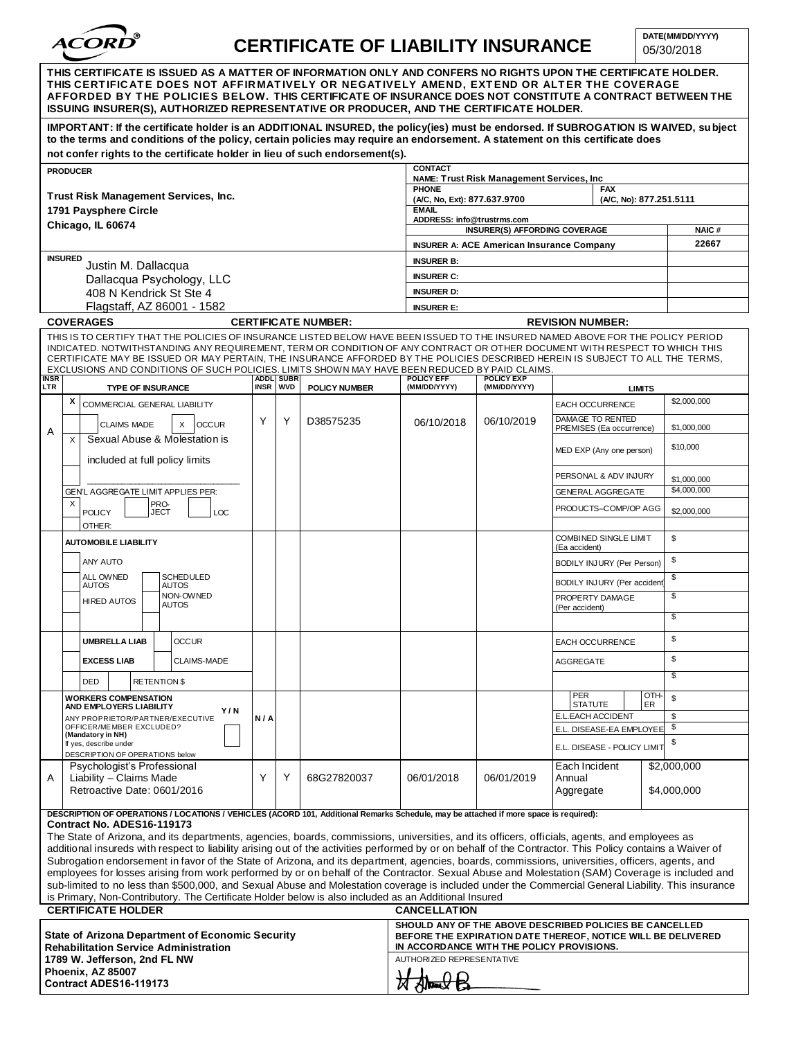

## **CERTIFICATE OF LIABILITY INSURANCE**

05/30/2018

| THIS CERTIFICATE IS ISSUED AS A MATTER OF INFORMATION ONLY AND CONFERS NO RIGHTS UPON THE CERTIFICATE HOLDER.<br>THIS CERTIFICATE DOES NOT AFFIRMATIVELY OR NEGATIVELY AMEND, EXTEND OR ALTER THE COVERAGE<br>AFFORDED BY THE POLICIES BELOW. THIS CERTIFICATE OF INSURANCE DOES NOT CONSTITUTE A CONTRACT BETWEEN THE<br>ISSUING INSURER(S). AUTHORIZED REPRESENTATIVE OR PRODUCER. AND THE CERTIFICATE HOLDER.                                                                                                                                                                                                                                                                                                                                                                                                                                                                                                                                                                                                                                        |                                                                                                                                                                                                                                                                                                                                                   |                                                                                       |                                                                       |                      |                                                                                                                                        |                       |                                               |                             |                            |
|---------------------------------------------------------------------------------------------------------------------------------------------------------------------------------------------------------------------------------------------------------------------------------------------------------------------------------------------------------------------------------------------------------------------------------------------------------------------------------------------------------------------------------------------------------------------------------------------------------------------------------------------------------------------------------------------------------------------------------------------------------------------------------------------------------------------------------------------------------------------------------------------------------------------------------------------------------------------------------------------------------------------------------------------------------|---------------------------------------------------------------------------------------------------------------------------------------------------------------------------------------------------------------------------------------------------------------------------------------------------------------------------------------------------|---------------------------------------------------------------------------------------|-----------------------------------------------------------------------|----------------------|----------------------------------------------------------------------------------------------------------------------------------------|-----------------------|-----------------------------------------------|-----------------------------|----------------------------|
|                                                                                                                                                                                                                                                                                                                                                                                                                                                                                                                                                                                                                                                                                                                                                                                                                                                                                                                                                                                                                                                         | IMPORTANT: If the certificate holder is an ADDITIONAL INSURED, the policy(ies) must be endorsed. If SUBROGATION IS WAIVED, subject<br>to the terms and conditions of the policy, certain policies may require an endorsement. A statement on this certificate does<br>not confer rights to the certificate holder in lieu of such endorsement(s). |                                                                                       |                                                                       |                      |                                                                                                                                        |                       |                                               |                             |                            |
| <b>CONTACT</b><br><b>PRODUCER</b><br>NAME: Trust Risk Management Services, Inc.                                                                                                                                                                                                                                                                                                                                                                                                                                                                                                                                                                                                                                                                                                                                                                                                                                                                                                                                                                         |                                                                                                                                                                                                                                                                                                                                                   |                                                                                       |                                                                       |                      |                                                                                                                                        |                       |                                               |                             |                            |
|                                                                                                                                                                                                                                                                                                                                                                                                                                                                                                                                                                                                                                                                                                                                                                                                                                                                                                                                                                                                                                                         | <b>Trust Risk Management Services, Inc.</b>                                                                                                                                                                                                                                                                                                       | <b>PHONE</b><br><b>FAX</b><br>(A/C, No, Ext): 877.637.9700<br>(A/C, No): 877.251.5111 |                                                                       |                      |                                                                                                                                        |                       |                                               |                             |                            |
| 1791 Paysphere Circle                                                                                                                                                                                                                                                                                                                                                                                                                                                                                                                                                                                                                                                                                                                                                                                                                                                                                                                                                                                                                                   |                                                                                                                                                                                                                                                                                                                                                   |                                                                                       |                                                                       |                      | <b>EMAIL</b><br>ADDRESS: info@trustrms.com                                                                                             |                       |                                               |                             |                            |
|                                                                                                                                                                                                                                                                                                                                                                                                                                                                                                                                                                                                                                                                                                                                                                                                                                                                                                                                                                                                                                                         | Chicago, IL 60674                                                                                                                                                                                                                                                                                                                                 | <b>INSURER(S) AFFORDING COVERAGE</b>                                                  |                                                                       |                      |                                                                                                                                        | <b>NAIC#</b><br>22667 |                                               |                             |                            |
|                                                                                                                                                                                                                                                                                                                                                                                                                                                                                                                                                                                                                                                                                                                                                                                                                                                                                                                                                                                                                                                         | <b>INSURED</b>                                                                                                                                                                                                                                                                                                                                    |                                                                                       | <b>INSURER A: ACE American Insurance Company</b><br><b>INSURER B:</b> |                      |                                                                                                                                        |                       |                                               |                             |                            |
|                                                                                                                                                                                                                                                                                                                                                                                                                                                                                                                                                                                                                                                                                                                                                                                                                                                                                                                                                                                                                                                         | Justin M. Dallacqua                                                                                                                                                                                                                                                                                                                               | <b>INSURER C:</b>                                                                     |                                                                       |                      |                                                                                                                                        |                       |                                               |                             |                            |
|                                                                                                                                                                                                                                                                                                                                                                                                                                                                                                                                                                                                                                                                                                                                                                                                                                                                                                                                                                                                                                                         | Dallacqua Psychology, LLC<br>408 N Kendrick St Ste 4                                                                                                                                                                                                                                                                                              | <b>INSURER D:</b>                                                                     |                                                                       |                      |                                                                                                                                        |                       |                                               |                             |                            |
| Flagstaff, AZ 86001 - 1582                                                                                                                                                                                                                                                                                                                                                                                                                                                                                                                                                                                                                                                                                                                                                                                                                                                                                                                                                                                                                              |                                                                                                                                                                                                                                                                                                                                                   |                                                                                       |                                                                       |                      | <b>INSURER E:</b>                                                                                                                      |                       |                                               |                             |                            |
| <b>COVERAGES</b><br><b>CERTIFICATE NUMBER:</b>                                                                                                                                                                                                                                                                                                                                                                                                                                                                                                                                                                                                                                                                                                                                                                                                                                                                                                                                                                                                          |                                                                                                                                                                                                                                                                                                                                                   |                                                                                       |                                                                       |                      | <b>REVISION NUMBER:</b>                                                                                                                |                       |                                               |                             |                            |
| THIS IS TO CERTIFY THAT THE POLICIES OF INSURANCE LISTED BELOW HAVE BEEN ISSUED TO THE INSURED NAMED ABOVE FOR THE POLICY PERIOD<br>INDICATED. NOTWITHSTANDING ANY REQUIREMENT, TERM OR CONDITION OF ANY CONTRACT OR OTHER DOCUMENT WITH RESPECT TO WHICH THIS<br>CERTIFICATE MAY BE ISSUED OR MAY PERTAIN, THE INSURANCE AFFORDED BY THE POLICIES DESCRIBED HEREIN IS SUBJECT TO ALL THE TERMS,<br>EXCLUSIONS AND CONDITIONS OF SUCH POLICIES. LIMITS SHOWN MAY HAVE BEEN REDUCED BY PAID CLAIMS.<br><b>ADDL SUBR</b><br><b>POLICY EXP</b><br><b>INSR</b><br><b>POLICY EFF</b>                                                                                                                                                                                                                                                                                                                                                                                                                                                                         |                                                                                                                                                                                                                                                                                                                                                   |                                                                                       |                                                                       |                      |                                                                                                                                        |                       |                                               |                             |                            |
| LTR                                                                                                                                                                                                                                                                                                                                                                                                                                                                                                                                                                                                                                                                                                                                                                                                                                                                                                                                                                                                                                                     | <b>TYPE OF INSURANCE</b>                                                                                                                                                                                                                                                                                                                          | <b>INSR</b>                                                                           | <b>WVD</b>                                                            | <b>POLICY NUMBER</b> | (MM/DD/YYYY)                                                                                                                           | (MM/DD/YYYY)          | <b>LIMITS</b>                                 |                             |                            |
|                                                                                                                                                                                                                                                                                                                                                                                                                                                                                                                                                                                                                                                                                                                                                                                                                                                                                                                                                                                                                                                         | Х<br>COMMERCIAL GENERAL LIABILITY                                                                                                                                                                                                                                                                                                                 |                                                                                       | Y                                                                     | D38575235            |                                                                                                                                        | 06/10/2019            |                                               | EACH OCCURRENCE             | \$2,000,000                |
| Α                                                                                                                                                                                                                                                                                                                                                                                                                                                                                                                                                                                                                                                                                                                                                                                                                                                                                                                                                                                                                                                       | X<br><b>CLAIMS MADE</b><br><b>OCCUR</b><br>Sexual Abuse & Molestation is                                                                                                                                                                                                                                                                          | Y                                                                                     |                                                                       |                      | 06/10/2018                                                                                                                             |                       | DAMAGE TO RENTED<br>PREMISES (Ea occurrence)  |                             | \$1,000,000                |
|                                                                                                                                                                                                                                                                                                                                                                                                                                                                                                                                                                                                                                                                                                                                                                                                                                                                                                                                                                                                                                                         | X<br>included at full policy limits                                                                                                                                                                                                                                                                                                               |                                                                                       |                                                                       |                      |                                                                                                                                        |                       |                                               | MED EXP (Any one person)    | \$10,000                   |
|                                                                                                                                                                                                                                                                                                                                                                                                                                                                                                                                                                                                                                                                                                                                                                                                                                                                                                                                                                                                                                                         |                                                                                                                                                                                                                                                                                                                                                   |                                                                                       |                                                                       |                      |                                                                                                                                        |                       | PERSONAL & ADV INJURY<br>GENERAL AGGREGATE    |                             | \$1,000,000<br>\$4,000,000 |
|                                                                                                                                                                                                                                                                                                                                                                                                                                                                                                                                                                                                                                                                                                                                                                                                                                                                                                                                                                                                                                                         | GEN'L AGGREGATE LIMIT APPLIES PER:<br>PRO-<br>X<br><b>POLICY</b><br><b>JECT</b><br>LOC                                                                                                                                                                                                                                                            |                                                                                       |                                                                       |                      |                                                                                                                                        |                       |                                               | PRODUCTS-COMP/OP AGG        | \$2,000,000                |
|                                                                                                                                                                                                                                                                                                                                                                                                                                                                                                                                                                                                                                                                                                                                                                                                                                                                                                                                                                                                                                                         | OTHER:                                                                                                                                                                                                                                                                                                                                            |                                                                                       |                                                                       |                      |                                                                                                                                        |                       |                                               |                             |                            |
|                                                                                                                                                                                                                                                                                                                                                                                                                                                                                                                                                                                                                                                                                                                                                                                                                                                                                                                                                                                                                                                         | <b>AUTOMOBILE LIABILITY</b>                                                                                                                                                                                                                                                                                                                       |                                                                                       |                                                                       |                      |                                                                                                                                        |                       | <b>COMBINED SINGLE LIMIT</b><br>(Ea accident) |                             | \$                         |
|                                                                                                                                                                                                                                                                                                                                                                                                                                                                                                                                                                                                                                                                                                                                                                                                                                                                                                                                                                                                                                                         | ANY AUTO                                                                                                                                                                                                                                                                                                                                          |                                                                                       |                                                                       |                      |                                                                                                                                        |                       | BODILY INJURY (Per Person)                    |                             | \$                         |
|                                                                                                                                                                                                                                                                                                                                                                                                                                                                                                                                                                                                                                                                                                                                                                                                                                                                                                                                                                                                                                                         | <b>SCHEDULED</b><br>ALL OWNED<br><b>AUTOS</b><br><b>AUTOS</b>                                                                                                                                                                                                                                                                                     |                                                                                       |                                                                       |                      |                                                                                                                                        |                       | BODILY INJURY (Per accident                   |                             | \$                         |
|                                                                                                                                                                                                                                                                                                                                                                                                                                                                                                                                                                                                                                                                                                                                                                                                                                                                                                                                                                                                                                                         | NON-OWNED<br><b>HIRED AUTOS</b><br><b>AUTOS</b>                                                                                                                                                                                                                                                                                                   |                                                                                       |                                                                       |                      |                                                                                                                                        |                       | PROPERTY DAMAGE<br>(Per accident)             |                             | \$                         |
|                                                                                                                                                                                                                                                                                                                                                                                                                                                                                                                                                                                                                                                                                                                                                                                                                                                                                                                                                                                                                                                         |                                                                                                                                                                                                                                                                                                                                                   |                                                                                       |                                                                       |                      |                                                                                                                                        |                       |                                               |                             | \$                         |
|                                                                                                                                                                                                                                                                                                                                                                                                                                                                                                                                                                                                                                                                                                                                                                                                                                                                                                                                                                                                                                                         | <b>UMBRELLA LIAB</b><br><b>OCCUR</b>                                                                                                                                                                                                                                                                                                              |                                                                                       |                                                                       |                      |                                                                                                                                        |                       | <b>EACH OCCURRENCE</b>                        |                             | \$                         |
|                                                                                                                                                                                                                                                                                                                                                                                                                                                                                                                                                                                                                                                                                                                                                                                                                                                                                                                                                                                                                                                         | <b>EXCESS LIAB</b><br><b>CLAIMS-MADE</b>                                                                                                                                                                                                                                                                                                          |                                                                                       |                                                                       |                      |                                                                                                                                        |                       | AGGREGATE                                     |                             | \$                         |
|                                                                                                                                                                                                                                                                                                                                                                                                                                                                                                                                                                                                                                                                                                                                                                                                                                                                                                                                                                                                                                                         | DED<br><b>RETENTION \$</b>                                                                                                                                                                                                                                                                                                                        |                                                                                       |                                                                       |                      |                                                                                                                                        |                       |                                               |                             | \$                         |
|                                                                                                                                                                                                                                                                                                                                                                                                                                                                                                                                                                                                                                                                                                                                                                                                                                                                                                                                                                                                                                                         | <b>WORKERS COMPENSATION</b><br>AND EMPLOYERS LIABILITY                                                                                                                                                                                                                                                                                            |                                                                                       |                                                                       |                      |                                                                                                                                        |                       | <b>PER</b><br>OTH-<br><b>STATUTE</b><br>ER    |                             | \$                         |
|                                                                                                                                                                                                                                                                                                                                                                                                                                                                                                                                                                                                                                                                                                                                                                                                                                                                                                                                                                                                                                                         | Y/N<br>ANY PROPRIETOR/PARTNER/EXECUTIVE                                                                                                                                                                                                                                                                                                           | N/A                                                                                   |                                                                       |                      |                                                                                                                                        |                       | E.L.EACH ACCIDENT                             |                             | \$                         |
|                                                                                                                                                                                                                                                                                                                                                                                                                                                                                                                                                                                                                                                                                                                                                                                                                                                                                                                                                                                                                                                         | OFFICER/MEMBER EXCLUDED?<br>(Mandatory in NH)<br>If yes, describe under                                                                                                                                                                                                                                                                           |                                                                                       |                                                                       |                      |                                                                                                                                        |                       |                                               | E.L. DISEASE-EA EMPLOYEE \$ | \$                         |
|                                                                                                                                                                                                                                                                                                                                                                                                                                                                                                                                                                                                                                                                                                                                                                                                                                                                                                                                                                                                                                                         | DESCRIPTION OF OPERATIONS below                                                                                                                                                                                                                                                                                                                   |                                                                                       |                                                                       |                      |                                                                                                                                        |                       |                                               | E.L. DISEASE - POLICY LIMIT |                            |
| Α                                                                                                                                                                                                                                                                                                                                                                                                                                                                                                                                                                                                                                                                                                                                                                                                                                                                                                                                                                                                                                                       | Psychologist's Professional<br>Liability - Claims Made<br>Υ<br>Retroactive Date: 0601/2016                                                                                                                                                                                                                                                        |                                                                                       | Υ                                                                     | 68G27820037          | 06/01/2018                                                                                                                             | 06/01/2019            | Each Incident<br>Annual<br>Aggregate          |                             | \$2,000,000<br>\$4,000,000 |
|                                                                                                                                                                                                                                                                                                                                                                                                                                                                                                                                                                                                                                                                                                                                                                                                                                                                                                                                                                                                                                                         |                                                                                                                                                                                                                                                                                                                                                   |                                                                                       |                                                                       |                      |                                                                                                                                        |                       |                                               |                             |                            |
| DESCRIPTION OF OPERATIONS / LOCATIONS / VEHICLES (ACORD 101, Additional Remarks Schedule, may be attached if more space is required):<br>Contract No. ADES16-119173<br>The State of Arizona, and its departments, agencies, boards, commissions, universities, and its officers, officials, agents, and employees as<br>additional insureds with respect to liability arising out of the activities performed by or on behalf of the Contractor. This Policy contains a Waiver of<br>Subrogation endorsement in favor of the State of Arizona, and its department, agencies, boards, commissions, universities, officers, agents, and<br>employees for losses arising from work performed by or on behalf of the Contractor. Sexual Abuse and Molestation (SAM) Coverage is included and<br>sub-limited to no less than \$500,000, and Sexual Abuse and Molestation coverage is included under the Commercial General Liability. This insurance<br>is Primary, Non-Contributory. The Certificate Holder below is also included as an Additional Insured |                                                                                                                                                                                                                                                                                                                                                   |                                                                                       |                                                                       |                      |                                                                                                                                        |                       |                                               |                             |                            |
| <b>CERTIFICATE HOLDER</b><br><b>CANCELLATION</b><br>SHOULD ANY OF THE ABOVE DESCRIBED POLICIES BE CANCELLED                                                                                                                                                                                                                                                                                                                                                                                                                                                                                                                                                                                                                                                                                                                                                                                                                                                                                                                                             |                                                                                                                                                                                                                                                                                                                                                   |                                                                                       |                                                                       |                      |                                                                                                                                        |                       |                                               |                             |                            |
| <b>State of Arizona Department of Economic Security</b><br><b>Rehabilitation Service Administration</b><br>1789 W. Jefferson, 2nd FL NW<br>Phoenix, AZ 85007                                                                                                                                                                                                                                                                                                                                                                                                                                                                                                                                                                                                                                                                                                                                                                                                                                                                                            |                                                                                                                                                                                                                                                                                                                                                   |                                                                                       |                                                                       |                      | BEFORE THE EXPIRATION DATE THEREOF, NOTICE WILL BE DELIVERED<br>IN ACCORDANCE WITH THE POLICY PROVISIONS.<br>AUTHORIZED REPRESENTATIVE |                       |                                               |                             |                            |
|                                                                                                                                                                                                                                                                                                                                                                                                                                                                                                                                                                                                                                                                                                                                                                                                                                                                                                                                                                                                                                                         |                                                                                                                                                                                                                                                                                                                                                   |                                                                                       |                                                                       |                      |                                                                                                                                        |                       |                                               |                             |                            |